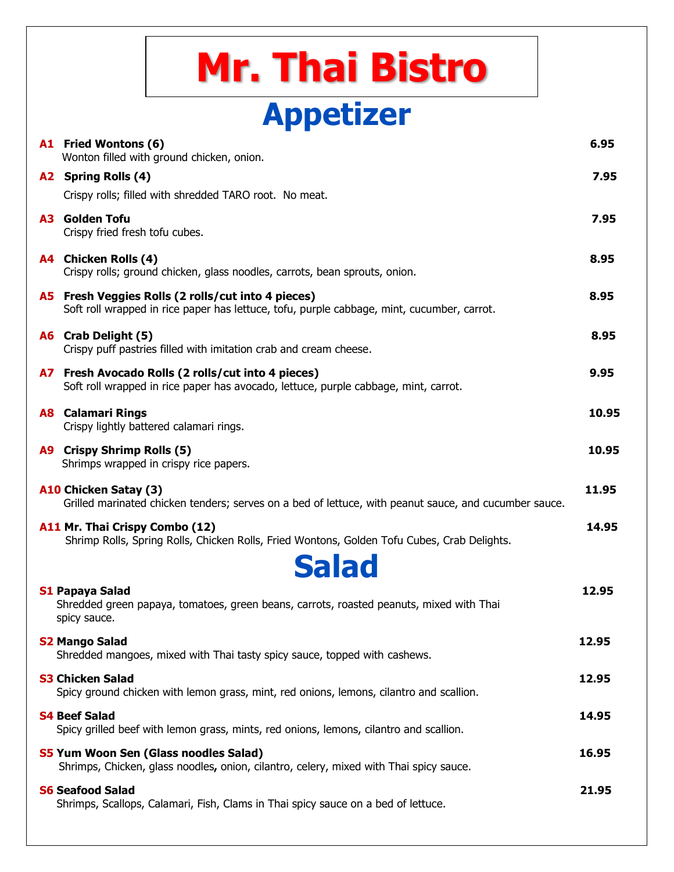| <b>Mr. Thai Bistro</b>                                                                                                                                  |       |
|---------------------------------------------------------------------------------------------------------------------------------------------------------|-------|
| <b>Appetizer</b>                                                                                                                                        |       |
| A1 Fried Wontons (6)<br>Wonton filled with ground chicken, onion.                                                                                       | 6.95  |
| A2 Spring Rolls (4)                                                                                                                                     | 7.95  |
| Crispy rolls; filled with shredded TARO root. No meat.                                                                                                  |       |
| <b>A3 Golden Tofu</b><br>Crispy fried fresh tofu cubes.                                                                                                 | 7.95  |
| A4 Chicken Rolls (4)<br>Crispy rolls; ground chicken, glass noodles, carrots, bean sprouts, onion.                                                      | 8.95  |
| <b>A5</b> Fresh Veggies Rolls (2 rolls/cut into 4 pieces)<br>Soft roll wrapped in rice paper has lettuce, tofu, purple cabbage, mint, cucumber, carrot. | 8.95  |
| A6 Crab Delight (5)<br>Crispy puff pastries filled with imitation crab and cream cheese.                                                                | 8.95  |
| A7 Fresh Avocado Rolls (2 rolls/cut into 4 pieces)<br>Soft roll wrapped in rice paper has avocado, lettuce, purple cabbage, mint, carrot.               | 9.95  |
| <b>A8 Calamari Rings</b><br>Crispy lightly battered calamari rings.                                                                                     | 10.95 |
| <b>A9</b> Crispy Shrimp Rolls (5)<br>Shrimps wrapped in crispy rice papers.                                                                             | 10.95 |
| A10 Chicken Satay (3)<br>Grilled marinated chicken tenders; serves on a bed of lettuce, with peanut sauce, and cucumber sauce.                          | 11.95 |
| A11 Mr. Thai Crispy Combo (12)<br>Shrimp Rolls, Spring Rolls, Chicken Rolls, Fried Wontons, Golden Tofu Cubes, Crab Delights.                           | 14.95 |
| <b>Salad</b><br><b>S1 Papaya Salad</b><br>Shredded green papaya, tomatoes, green beans, carrots, roasted peanuts, mixed with Thai<br>spicy sauce.       | 12.95 |
| <b>S2 Mango Salad</b><br>Shredded mangoes, mixed with Thai tasty spicy sauce, topped with cashews.                                                      | 12.95 |
| <b>S3 Chicken Salad</b><br>Spicy ground chicken with lemon grass, mint, red onions, lemons, cilantro and scallion.                                      | 12.95 |
| <b>S4 Beef Salad</b><br>Spicy grilled beef with lemon grass, mints, red onions, lemons, cilantro and scallion.                                          | 14.95 |
| S5 Yum Woon Sen (Glass noodles Salad)<br>Shrimps, Chicken, glass noodles, onion, cilantro, celery, mixed with Thai spicy sauce.                         | 16.95 |
| <b>S6 Seafood Salad</b><br>Shrimps, Scallops, Calamari, Fish, Clams in Thai spicy sauce on a bed of lettuce.                                            | 21.95 |
|                                                                                                                                                         |       |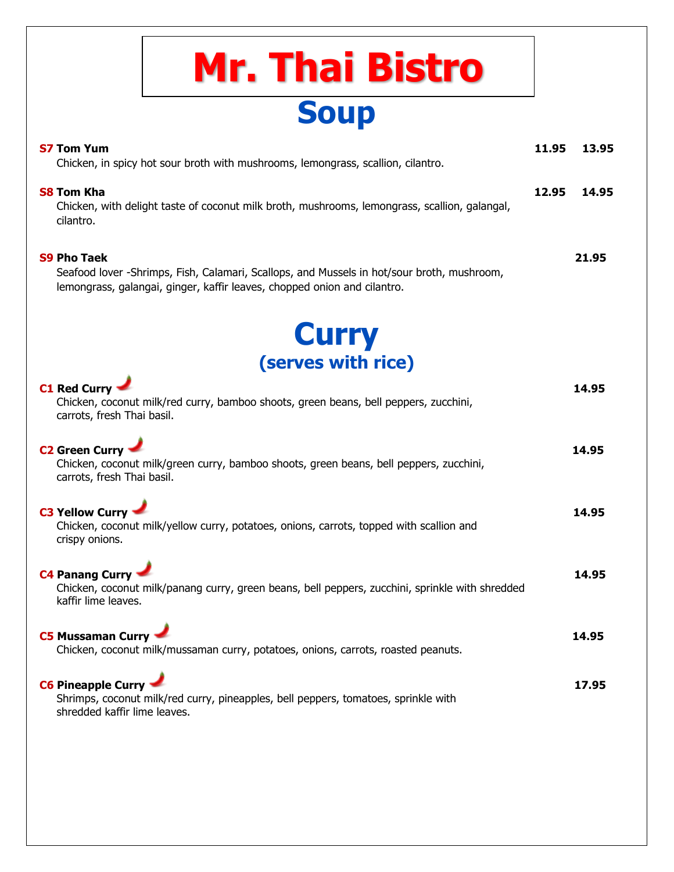## **Soup Mr. Thai Bistro**

| S7 Tom Yum                                                                                                  | 11.95 | 13.95 |
|-------------------------------------------------------------------------------------------------------------|-------|-------|
| Chicken, in spicy hot sour broth with mushrooms, lemongrass, scallion, cilantro.                            |       |       |
| S8 Tom Kha<br>Chicken, with delight taste of coconut milk broth, mushrooms, lemongrass, scallion, galangal, | 12.95 | 14.95 |
| cilantro.                                                                                                   |       |       |
| <b>S9 Pho Taek</b>                                                                                          |       | 21.95 |
| Seafood lover -Shrimps, Fish, Calamari, Scallops, and Mussels in hot/sour broth, mushroom,                  |       |       |
| lemongrass, galangai, ginger, kaffir leaves, chopped onion and cilantro.                                    |       |       |

**Curry (serves with rice)**

**C1 Red Curry 14.95**

| Chicken, coconut milk/red curry, bamboo shoots, green beans, bell peppers, zucchini,<br>carrots, fresh Thai basil.                                 |       |
|----------------------------------------------------------------------------------------------------------------------------------------------------|-------|
| C <sub>2</sub> Green Curry<br>Chicken, coconut milk/green curry, bamboo shoots, green beans, bell peppers, zucchini,<br>carrots, fresh Thai basil. | 14.95 |
| C3 Yellow Curry<br>Chicken, coconut milk/yellow curry, potatoes, onions, carrots, topped with scallion and<br>crispy onions.                       | 14.95 |
| C4 Panang Curry<br>Chicken, coconut milk/panang curry, green beans, bell peppers, zucchini, sprinkle with shredded<br>kaffir lime leaves.          | 14.95 |
| C5 Mussaman Curry<br>Chicken, coconut milk/mussaman curry, potatoes, onions, carrots, roasted peanuts.                                             | 14.95 |
| C6 Pineapple Curry<br>Shrimps, coconut milk/red curry, pineapples, bell peppers, tomatoes, sprinkle with<br>shredded kaffir lime leaves.           | 17.95 |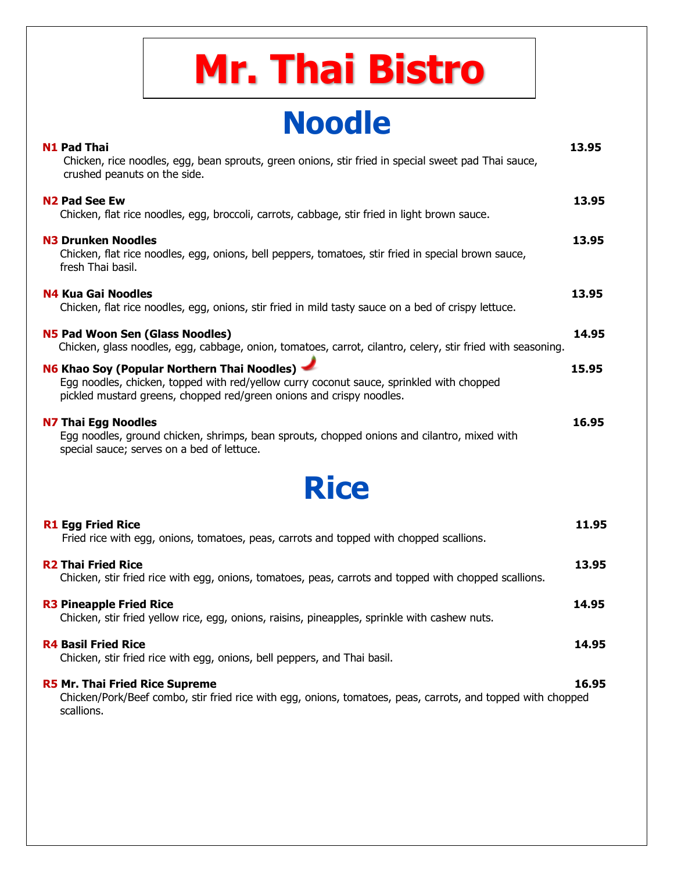## **Mr. Thai Bistro**

### **Noodle**

| <b>N1 Pad Thai</b><br>Chicken, rice noodles, egg, bean sprouts, green onions, stir fried in special sweet pad Thai sauce,<br>crushed peanuts on the side.                                                       | 13.95 |
|-----------------------------------------------------------------------------------------------------------------------------------------------------------------------------------------------------------------|-------|
| <b>N2 Pad See Ew</b><br>Chicken, flat rice noodles, egg, broccoli, carrots, cabbage, stir fried in light brown sauce.                                                                                           | 13.95 |
| <b>N3 Drunken Noodles</b><br>Chicken, flat rice noodles, egg, onions, bell peppers, tomatoes, stir fried in special brown sauce,<br>fresh Thai basil.                                                           | 13.95 |
| N4 Kua Gai Noodles<br>Chicken, flat rice noodles, egg, onions, stir fried in mild tasty sauce on a bed of crispy lettuce.                                                                                       | 13.95 |
| N5 Pad Woon Sen (Glass Noodles)<br>Chicken, glass noodles, egg, cabbage, onion, tomatoes, carrot, cilantro, celery, stir fried with seasoning.                                                                  | 14.95 |
| N6 Khao Soy (Popular Northern Thai Noodles)<br>Egg noodles, chicken, topped with red/yellow curry coconut sauce, sprinkled with chopped<br>pickled mustard greens, chopped red/green onions and crispy noodles. | 15.95 |
| <b>N7 Thai Egg Noodles</b><br>Egg noodles, ground chicken, shrimps, bean sprouts, chopped onions and cilantro, mixed with<br>special sauce; serves on a bed of lettuce.                                         | 16.95 |
| <b>Rice</b>                                                                                                                                                                                                     |       |
| <b>R1 Egg Fried Rice</b><br>Fried rice with egg, onions, tomatoes, peas, carrots and topped with chopped scallions.                                                                                             | 11.95 |
| <b>R2 Thai Fried Rice</b><br>Chicken, stir fried rice with egg, onions, tomatoes, peas, carrots and topped with chopped scallions.                                                                              | 13.95 |

**R3** Pineapple Fried Rice 14.95 Chicken, stir fried yellow rice, egg, onions, raisins, pineapples, sprinkle with cashew nuts.

#### **R4** Basil Fried Rice 14.95

Chicken, stir fried rice with egg, onions, bell peppers, and Thai basil.

#### **R5** Mr. Thai Fried Rice Supreme 16.95

 Chicken/Pork/Beef combo, stir fried rice with egg, onions, tomatoes, peas, carrots, and topped with chopped scallions.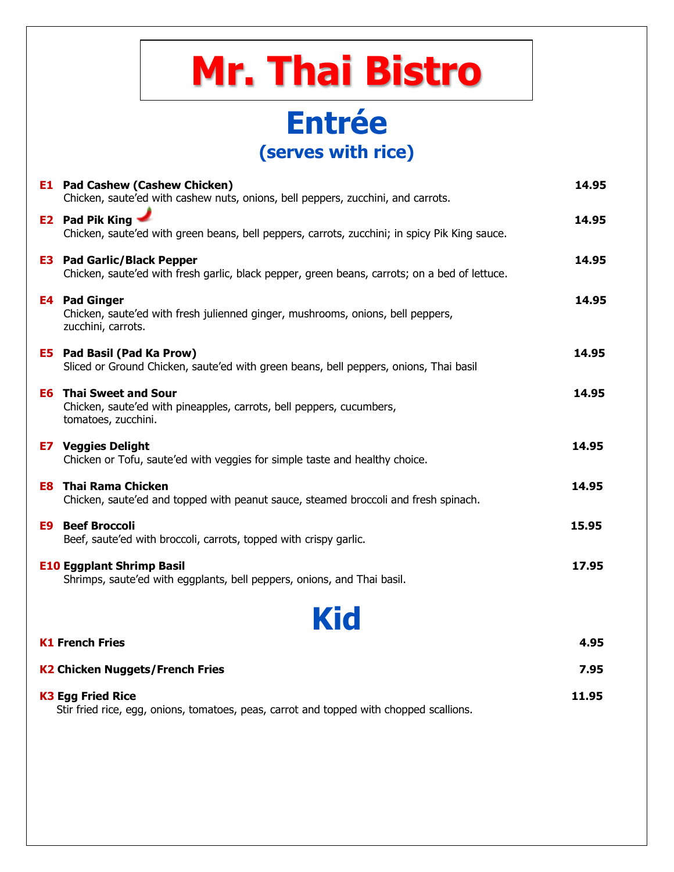|                                        | <b>Mr. Thai Bistro</b>                                                                                                             |       |
|----------------------------------------|------------------------------------------------------------------------------------------------------------------------------------|-------|
|                                        | <b>Entrée</b><br>(serves with rice)                                                                                                |       |
|                                        | <b>E1</b> Pad Cashew (Cashew Chicken)<br>Chicken, saute'ed with cashew nuts, onions, bell peppers, zucchini, and carrots.          | 14.95 |
|                                        | <b>E2</b> Pad Pik King<br>Chicken, saute'ed with green beans, bell peppers, carrots, zucchini; in spicy Pik King sauce.            | 14.95 |
|                                        | <b>E3</b> Pad Garlic/Black Pepper<br>Chicken, saute'ed with fresh garlic, black pepper, green beans, carrots; on a bed of lettuce. | 14.95 |
|                                        | <b>E4 Pad Ginger</b><br>Chicken, saute'ed with fresh julienned ginger, mushrooms, onions, bell peppers,<br>zucchini, carrots.      | 14.95 |
|                                        | <b>E5</b> Pad Basil (Pad Ka Prow)<br>Sliced or Ground Chicken, saute'ed with green beans, bell peppers, onions, Thai basil         | 14.95 |
|                                        | <b>E6 Thai Sweet and Sour</b><br>Chicken, saute'ed with pineapples, carrots, bell peppers, cucumbers,<br>tomatoes, zucchini.       | 14.95 |
|                                        | <b>E7</b> Veggies Delight<br>Chicken or Tofu, saute'ed with veggies for simple taste and healthy choice.                           | 14.95 |
|                                        | <b>E8 Thai Rama Chicken</b><br>Chicken, saute'ed and topped with peanut sauce, steamed broccoli and fresh spinach.                 | 14.95 |
| E9                                     | <b>Beef Broccoli</b><br>Beef, saute'ed with broccoli, carrots, topped with crispy garlic.                                          | 15.95 |
|                                        | <b>E10 Eggplant Shrimp Basil</b><br>Shrimps, saute'ed with eggplants, bell peppers, onions, and Thai basil.                        | 17.95 |
|                                        | <b>Kid</b>                                                                                                                         |       |
|                                        | <b>K1 French Fries</b>                                                                                                             | 4.95  |
| <b>K2 Chicken Nuggets/French Fries</b> |                                                                                                                                    | 7.95  |
|                                        | <b>K3 Egg Fried Rice</b><br>Stir fried rice, egg, onions, tomatoes, peas, carrot and topped with chopped scallions.                | 11.95 |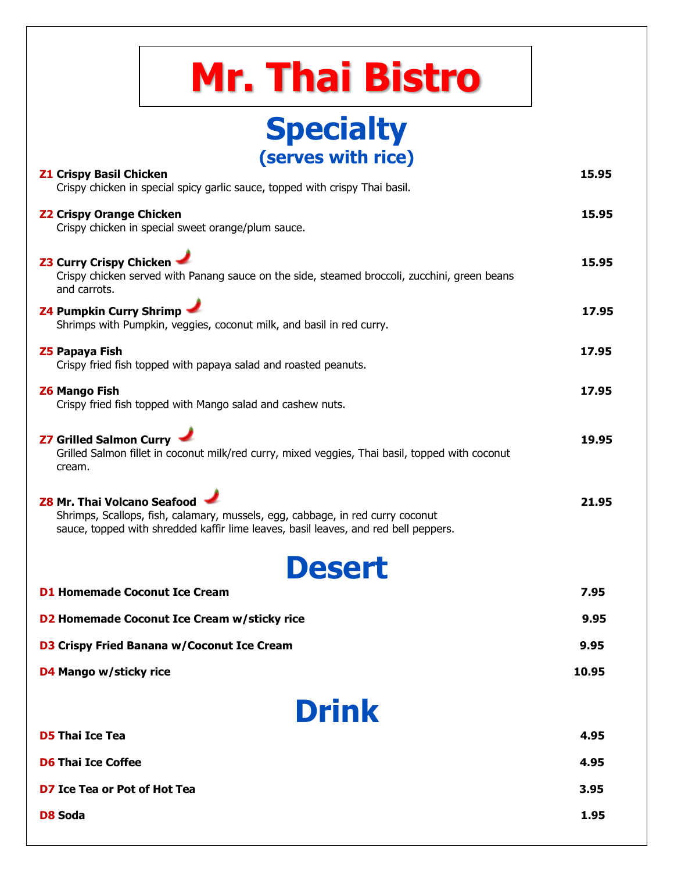| <b>Mr. Thai Bistro</b>                                                                                                                                                                                      |       |  |
|-------------------------------------------------------------------------------------------------------------------------------------------------------------------------------------------------------------|-------|--|
| <b>Specialty</b>                                                                                                                                                                                            |       |  |
| (serves with rice)                                                                                                                                                                                          |       |  |
| <b>Z1 Crispy Basil Chicken</b><br>Crispy chicken in special spicy garlic sauce, topped with crispy Thai basil.                                                                                              | 15.95 |  |
| <b>Z2 Crispy Orange Chicken</b><br>Crispy chicken in special sweet orange/plum sauce.                                                                                                                       | 15.95 |  |
| <b>Z3 Curry Crispy Chicken</b><br>Crispy chicken served with Panang sauce on the side, steamed broccoli, zucchini, green beans<br>and carrots.                                                              | 15.95 |  |
| <b>Z4 Pumpkin Curry Shrimp -</b><br>Shrimps with Pumpkin, veggies, coconut milk, and basil in red curry.                                                                                                    |       |  |
| <b>Z5 Papaya Fish</b><br>Crispy fried fish topped with papaya salad and roasted peanuts.                                                                                                                    | 17.95 |  |
| <b>Z6 Mango Fish</b><br>Crispy fried fish topped with Mango salad and cashew nuts.                                                                                                                          | 17.95 |  |
| <b>Z7 Grilled Salmon Curry</b><br>Grilled Salmon fillet in coconut milk/red curry, mixed veggies, Thai basil, topped with coconut<br>cream.                                                                 | 19.95 |  |
| <b>Z8 Mr. Thai Volcano Seafood</b><br>Shrimps, Scallops, fish, calamary, mussels, egg, cabbage, in red curry coconut<br>sauce, topped with shredded kaffir lime leaves, basil leaves, and red bell peppers. | 21.95 |  |
| <b>Desert</b>                                                                                                                                                                                               |       |  |
| <b>D1 Homemade Coconut Ice Cream</b>                                                                                                                                                                        | 7.95  |  |
| D2 Homemade Coconut Ice Cream w/sticky rice                                                                                                                                                                 | 9.95  |  |
| <b>D3 Crispy Fried Banana w/Coconut Ice Cream</b>                                                                                                                                                           | 9.95  |  |
| D4 Mango w/sticky rice                                                                                                                                                                                      | 10.95 |  |
| <b>Drink</b>                                                                                                                                                                                                |       |  |
| <b>D5 Thai Ice Tea</b>                                                                                                                                                                                      | 4.95  |  |
| <b>D6 Thai Ice Coffee</b><br>4.95                                                                                                                                                                           |       |  |
| <b>D7 Ice Tea or Pot of Hot Tea</b>                                                                                                                                                                         |       |  |
| <b>D8 Soda</b>                                                                                                                                                                                              |       |  |